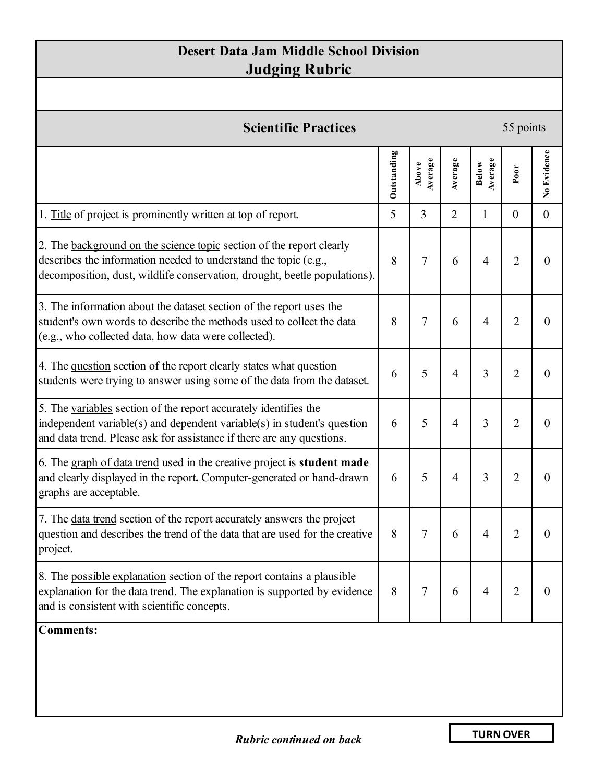## **Desert Data Jam Middle School Division Judging Rubric**

| <b>Scientific Practices</b>                                                                                                                                                                                          |             |                  |                |                         | 55 points        |                  |  |  |
|----------------------------------------------------------------------------------------------------------------------------------------------------------------------------------------------------------------------|-------------|------------------|----------------|-------------------------|------------------|------------------|--|--|
|                                                                                                                                                                                                                      | Outstanding | Average<br>Above | Average        | Average<br><b>Below</b> | Poor             | No Evidence      |  |  |
| 1. Title of project is prominently written at top of report.                                                                                                                                                         | 5           | 3                | $\overline{2}$ | $\mathbf{1}$            | $\boldsymbol{0}$ | $\boldsymbol{0}$ |  |  |
| 2. The background on the science topic section of the report clearly<br>describes the information needed to understand the topic (e.g.,<br>decomposition, dust, wildlife conservation, drought, beetle populations). | 8           | $\overline{7}$   | 6              | 4                       | $\overline{2}$   | $\boldsymbol{0}$ |  |  |
| 3. The information about the dataset section of the report uses the<br>student's own words to describe the methods used to collect the data<br>(e.g., who collected data, how data were collected).                  | 8           | $\overline{7}$   | 6              | 4                       | $\overline{2}$   | $\boldsymbol{0}$ |  |  |
| 4. The question section of the report clearly states what question<br>students were trying to answer using some of the data from the dataset.                                                                        | 6           | 5                | $\overline{4}$ | 3                       | $\overline{2}$   | $\overline{0}$   |  |  |
| 5. The variables section of the report accurately identifies the<br>independent variable(s) and dependent variable(s) in student's question<br>and data trend. Please ask for assistance if there are any questions. | 6           | 5                | $\overline{4}$ | 3                       | $\overline{2}$   | $\theta$         |  |  |
| 6. The graph of data trend used in the creative project is student made<br>and clearly displayed in the report. Computer-generated or hand-drawn<br>graphs are acceptable.                                           | 6           | 5                | $\overline{4}$ | 3                       | $\overline{2}$   | $\theta$         |  |  |
| 7. The <u>data trend</u> section of the report accurately answers the project<br>question and describes the trend of the data that are used for the creative<br>project.                                             | 8           | 7                | 6              | 4                       | $\overline{2}$   | 0                |  |  |
| 8. The possible explanation section of the report contains a plausible<br>explanation for the data trend. The explanation is supported by evidence<br>and is consistent with scientific concepts.                    | 8           | 7                | 6              | 4                       | $\overline{2}$   | $\theta$         |  |  |
| <b>Comments:</b>                                                                                                                                                                                                     |             |                  |                |                         |                  |                  |  |  |

**TURN OVER**